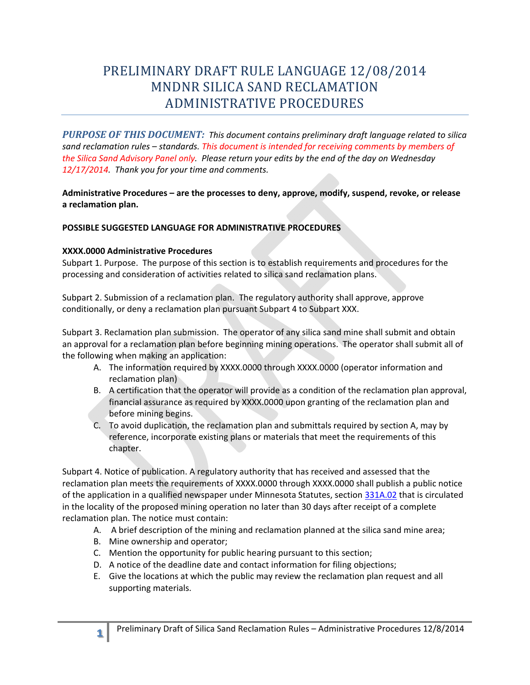## PRELIMINARY DRAFT RULE LANGUAGE 12/08/2014 MNDNR SILICA SAND RECLAMATION ADMINISTRATIVE PROCEDURES

*PURPOSE OF THIS DOCUMENT: This document contains preliminary draft language related to silica sand reclamation rules – standards. This document is intended for receiving comments by members of the Silica Sand Advisory Panel only. Please return your edits by the end of the day on Wednesday 12/17/2014. Thank you for your time and comments.* 

**Administrative Procedures – are the processes to deny, approve, modify, suspend, revoke, or release a reclamation plan.** 

## **POSSIBLE SUGGESTED LANGUAGE FOR ADMINISTRATIVE PROCEDURES**

## **XXXX.0000 Administrative Procedures**

Subpart 1. Purpose. The purpose of this section is to establish requirements and procedures for the processing and consideration of activities related to silica sand reclamation plans.

Subpart 2. Submission of a reclamation plan. The regulatory authority shall approve, approve conditionally, or deny a reclamation plan pursuant Subpart 4 to Subpart XXX.

Subpart 3. Reclamation plan submission. The operator of any silica sand mine shall submit and obtain an approval for a reclamation plan before beginning mining operations. The operator shall submit all of the following when making an application:

- A. The information required by XXXX.0000 through XXXX.0000 (operator information and reclamation plan)
- B. A certification that the operator will provide as a condition of the reclamation plan approval, financial assurance as required by XXXX.0000 upon granting of the reclamation plan and before mining begins.
- C. To avoid duplication, the reclamation plan and submittals required by section A, may by reference, incorporate existing plans or materials that meet the requirements of this chapter.

Subpart 4. Notice of publication. A regulatory authority that has received and assessed that the reclamation plan meets the requirements of XXXX.0000 through XXXX.0000 shall publish a public notice of the application in a qualified newspaper under Minnesota Statutes, section 331A.02 that is circulated in the locality of the proposed mining operation no later than 30 days after receipt of a complete reclamation plan. The notice must contain:

- A. A brief description of the mining and reclamation planned at the silica sand mine area;
- B. Mine ownership and operator;
- C. Mention the opportunity for public hearing pursuant to this section;
- D. A notice of the deadline date and contact information for filing objections;
- E. Give the locations at which the public may review the reclamation plan request and all supporting materials.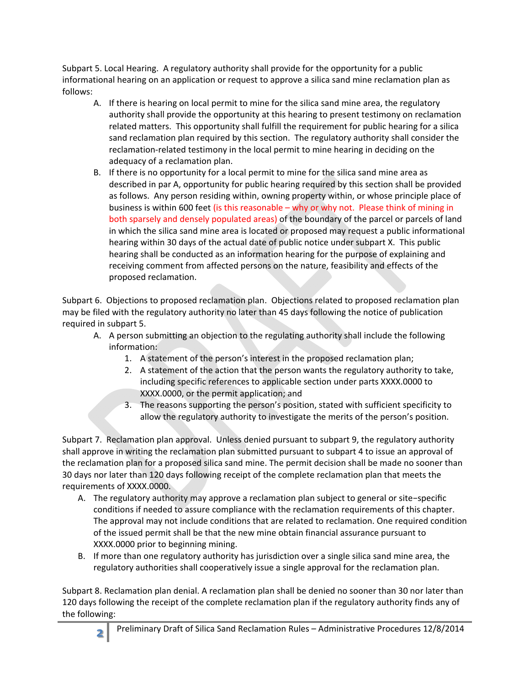Subpart 5. Local Hearing. A regulatory authority shall provide for the opportunity for a public informational hearing on an application or request to approve a silica sand mine reclamation plan as follows:

- A. If there is hearing on local permit to mine for the silica sand mine area, the regulatory authority shall provide the opportunity at this hearing to present testimony on reclamation related matters. This opportunity shall fulfill the requirement for public hearing for a silica sand reclamation plan required by this section. The regulatory authority shall consider the reclamation-related testimony in the local permit to mine hearing in deciding on the adequacy of a reclamation plan.
- B. If there is no opportunity for a local permit to mine for the silica sand mine area as described in par A, opportunity for public hearing required by this section shall be provided as follows. Any person residing within, owning property within, or whose principle place of business is within 600 feet (is this reasonable – why or why not. Please think of mining in both sparsely and densely populated areas) of the boundary of the parcel or parcels of land in which the silica sand mine area is located or proposed may request a public informational hearing within 30 days of the actual date of public notice under subpart X. This public hearing shall be conducted as an information hearing for the purpose of explaining and receiving comment from affected persons on the nature, feasibility and effects of the proposed reclamation.

Subpart 6. Objections to proposed reclamation plan. Objections related to proposed reclamation plan may be filed with the regulatory authority no later than 45 days following the notice of publication required in subpart 5.

- A. A person submitting an objection to the regulating authority shall include the following information:
	- 1. A statement of the person's interest in the proposed reclamation plan;
	- 2. A statement of the action that the person wants the regulatory authority to take, including specific references to applicable section under parts XXXX.0000 to XXXX.0000, or the permit application; and
	- 3. The reasons supporting the person's position, stated with sufficient specificity to allow the regulatory authority to investigate the merits of the person's position.

Subpart 7. Reclamation plan approval. Unless denied pursuant to subpart 9, the regulatory authority shall approve in writing the reclamation plan submitted pursuant to subpart 4 to issue an approval of the reclamation plan for a proposed silica sand mine. The permit decision shall be made no sooner than 30 days nor later than 120 days following receipt of the complete reclamation plan that meets the requirements of XXXX.0000.

- A. The regulatory authority may approve a reclamation plan subject to general or site−specific conditions if needed to assure compliance with the reclamation requirements of this chapter. The approval may not include conditions that are related to reclamation. One required condition of the issued permit shall be that the new mine obtain financial assurance pursuant to XXXX.0000 prior to beginning mining.
- B. If more than one regulatory authority has jurisdiction over a single silica sand mine area, the regulatory authorities shall cooperatively issue a single approval for the reclamation plan.

Subpart 8. Reclamation plan denial. A reclamation plan shall be denied no sooner than 30 nor later than 120 days following the receipt of the complete reclamation plan if the regulatory authority finds any of the following: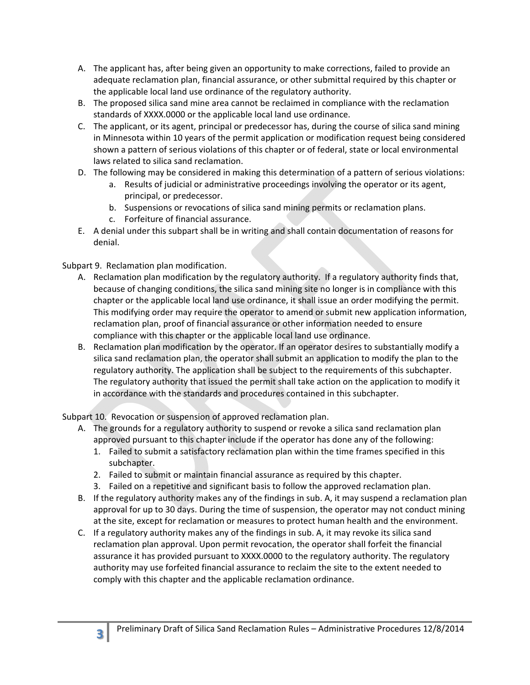- A. The applicant has, after being given an opportunity to make corrections, failed to provide an adequate reclamation plan, financial assurance, or other submittal required by this chapter or the applicable local land use ordinance of the regulatory authority.
- B. The proposed silica sand mine area cannot be reclaimed in compliance with the reclamation standards of XXXX.0000 or the applicable local land use ordinance.
- C. The applicant, or its agent, principal or predecessor has, during the course of silica sand mining in Minnesota within 10 years of the permit application or modification request being considered shown a pattern of serious violations of this chapter or of federal, state or local environmental laws related to silica sand reclamation.
- D. The following may be considered in making this determination of a pattern of serious violations:
	- a. Results of judicial or administrative proceedings involving the operator or its agent, principal, or predecessor.
	- b. Suspensions or revocations of silica sand mining permits or reclamation plans.
	- c. Forfeiture of financial assurance.
- E. A denial under this subpart shall be in writing and shall contain documentation of reasons for denial.

Subpart 9. Reclamation plan modification.

- A. Reclamation plan modification by the regulatory authority. If a regulatory authority finds that, because of changing conditions, the silica sand mining site no longer is in compliance with this chapter or the applicable local land use ordinance, it shall issue an order modifying the permit. This modifying order may require the operator to amend or submit new application information, reclamation plan, proof of financial assurance or other information needed to ensure compliance with this chapter or the applicable local land use ordinance.
- B. Reclamation plan modification by the operator. If an operator desires to substantially modify a silica sand reclamation plan, the operator shall submit an application to modify the plan to the regulatory authority. The application shall be subject to the requirements of this subchapter. The regulatory authority that issued the permit shall take action on the application to modify it in accordance with the standards and procedures contained in this subchapter.

Subpart 10. Revocation or suspension of approved reclamation plan.

- A. The grounds for a regulatory authority to suspend or revoke a silica sand reclamation plan approved pursuant to this chapter include if the operator has done any of the following:
	- 1. Failed to submit a satisfactory reclamation plan within the time frames specified in this subchapter.
	- 2. Failed to submit or maintain financial assurance as required by this chapter.
	- 3. Failed on a repetitive and significant basis to follow the approved reclamation plan.
- B. If the regulatory authority makes any of the findings in sub. A, it may suspend a reclamation plan approval for up to 30 days. During the time of suspension, the operator may not conduct mining at the site, except for reclamation or measures to protect human health and the environment.
- C. If a regulatory authority makes any of the findings in sub. A, it may revoke its silica sand reclamation plan approval. Upon permit revocation, the operator shall forfeit the financial assurance it has provided pursuant to XXXX.0000 to the regulatory authority. The regulatory authority may use forfeited financial assurance to reclaim the site to the extent needed to comply with this chapter and the applicable reclamation ordinance.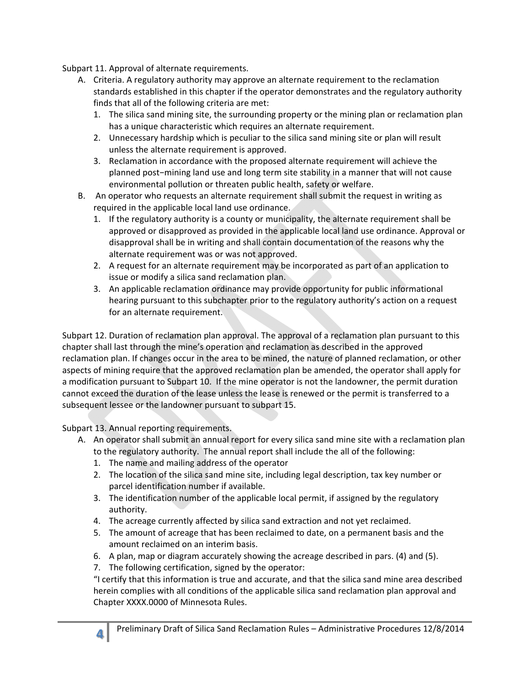Subpart 11. Approval of alternate requirements.

- A. Criteria. A regulatory authority may approve an alternate requirement to the reclamation standards established in this chapter if the operator demonstrates and the regulatory authority finds that all of the following criteria are met:
	- 1. The silica sand mining site, the surrounding property or the mining plan or reclamation plan has a unique characteristic which requires an alternate requirement.
	- 2. Unnecessary hardship which is peculiar to the silica sand mining site or plan will result unless the alternate requirement is approved.
	- 3. Reclamation in accordance with the proposed alternate requirement will achieve the planned post−mining land use and long term site stability in a manner that will not cause environmental pollution or threaten public health, safety or welfare.
- B. An operator who requests an alternate requirement shall submit the request in writing as required in the applicable local land use ordinance.
	- 1. If the regulatory authority is a county or municipality, the alternate requirement shall be approved or disapproved as provided in the applicable local land use ordinance. Approval or disapproval shall be in writing and shall contain documentation of the reasons why the alternate requirement was or was not approved.
	- 2. A request for an alternate requirement may be incorporated as part of an application to issue or modify a silica sand reclamation plan.
	- 3. An applicable reclamation ordinance may provide opportunity for public informational hearing pursuant to this subchapter prior to the regulatory authority's action on a request for an alternate requirement.

Subpart 12. Duration of reclamation plan approval. The approval of a reclamation plan pursuant to this chapter shall last through the mine's operation and reclamation as described in the approved reclamation plan. If changes occur in the area to be mined, the nature of planned reclamation, or other aspects of mining require that the approved reclamation plan be amended, the operator shall apply for a modification pursuant to Subpart 10. If the mine operator is not the landowner, the permit duration cannot exceed the duration of the lease unless the lease is renewed or the permit is transferred to a subsequent lessee or the landowner pursuant to subpart 15.

Subpart 13. Annual reporting requirements.

- A. An operator shall submit an annual report for every silica sand mine site with a reclamation plan to the regulatory authority. The annual report shall include the all of the following:
	- 1. The name and mailing address of the operator
	- 2. The location of the silica sand mine site, including legal description, tax key number or parcel identification number if available.
	- 3. The identification number of the applicable local permit, if assigned by the regulatory authority.
	- 4. The acreage currently affected by silica sand extraction and not yet reclaimed.
	- 5. The amount of acreage that has been reclaimed to date, on a permanent basis and the amount reclaimed on an interim basis.
	- 6. A plan, map or diagram accurately showing the acreage described in pars. (4) and (5).
	- 7. The following certification, signed by the operator:

"I certify that this information is true and accurate, and that the silica sand mine area described herein complies with all conditions of the applicable silica sand reclamation plan approval and Chapter XXXX.0000 of Minnesota Rules.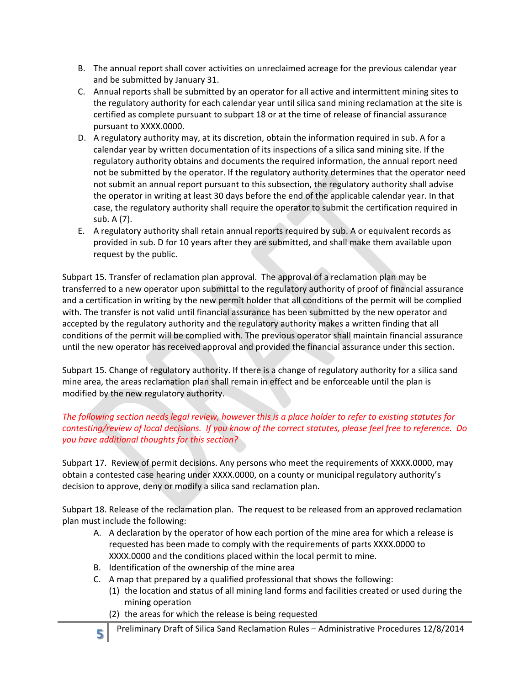- B. The annual report shall cover activities on unreclaimed acreage for the previous calendar year and be submitted by January 31.
- C. Annual reports shall be submitted by an operator for all active and intermittent mining sites to the regulatory authority for each calendar year until silica sand mining reclamation at the site is certified as complete pursuant to subpart 18 or at the time of release of financial assurance pursuant to XXXX.0000.
- D. A regulatory authority may, at its discretion, obtain the information required in sub. A for a calendar year by written documentation of its inspections of a silica sand mining site. If the regulatory authority obtains and documents the required information, the annual report need not be submitted by the operator. If the regulatory authority determines that the operator need not submit an annual report pursuant to this subsection, the regulatory authority shall advise the operator in writing at least 30 days before the end of the applicable calendar year. In that case, the regulatory authority shall require the operator to submit the certification required in sub. A (7).
- E. A regulatory authority shall retain annual reports required by sub. A or equivalent records as provided in sub. D for 10 years after they are submitted, and shall make them available upon request by the public.

Subpart 15. Transfer of reclamation plan approval. The approval of a reclamation plan may be transferred to a new operator upon submittal to the regulatory authority of proof of financial assurance and a certification in writing by the new permit holder that all conditions of the permit will be complied with. The transfer is not valid until financial assurance has been submitted by the new operator and accepted by the regulatory authority and the regulatory authority makes a written finding that all conditions of the permit will be complied with. The previous operator shall maintain financial assurance until the new operator has received approval and provided the financial assurance under this section.

Subpart 15. Change of regulatory authority. If there is a change of regulatory authority for a silica sand mine area, the areas reclamation plan shall remain in effect and be enforceable until the plan is modified by the new regulatory authority.

## *The following section needs legal review, however this is a place holder to refer to existing statutes for contesting/review of local decisions. If you know of the correct statutes, please feel free to reference. Do you have additional thoughts for this section?*

Subpart 17. Review of permit decisions. Any persons who meet the requirements of XXXX.0000, may obtain a contested case hearing under XXXX.0000, on a county or municipal regulatory authority's decision to approve, deny or modify a silica sand reclamation plan.

Subpart 18. Release of the reclamation plan. The request to be released from an approved reclamation plan must include the following:

- A. A declaration by the operator of how each portion of the mine area for which a release is requested has been made to comply with the requirements of parts XXXX.0000 to XXXX.0000 and the conditions placed within the local permit to mine.
- B. Identification of the ownership of the mine area
- C. A map that prepared by a qualified professional that shows the following:
	- (1) the location and status of all mining land forms and facilities created or used during the mining operation
	- (2) the areas for which the release is being requested